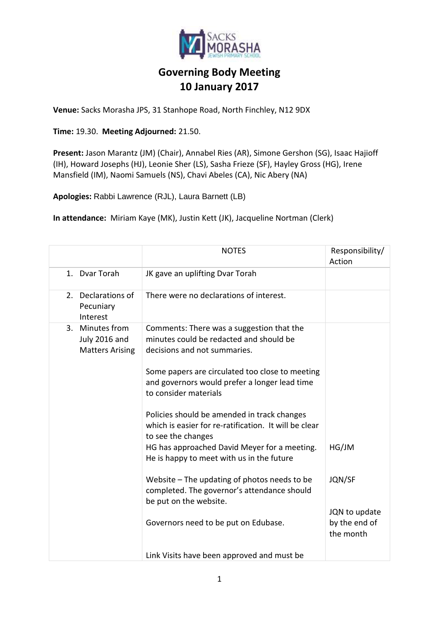

**Venue:** Sacks Morasha JPS, 31 Stanhope Road, North Finchley, N12 9DX

#### **Time:** 19.30. **Meeting Adjourned:** 21.50.

**Present:** Jason Marantz (JM) (Chair), Annabel Ries (AR), Simone Gershon (SG), Isaac Hajioff (IH), Howard Josephs (HJ), Leonie Sher (LS), Sasha Frieze (SF), Hayley Gross (HG), Irene Mansfield (IM), Naomi Samuels (NS), Chavi Abeles (CA), Nic Abery (NA)

**Apologies:** Rabbi Lawrence (RJL), Laura Barnett (LB)

**In attendance:** Miriam Kaye (MK), Justin Kett (JK), Jacqueline Nortman (Clerk)

|                                                               | <b>NOTES</b>                                                                                                               | Responsibility/<br>Action                   |
|---------------------------------------------------------------|----------------------------------------------------------------------------------------------------------------------------|---------------------------------------------|
| 1. Dvar Torah                                                 | JK gave an uplifting Dvar Torah                                                                                            |                                             |
| 2. Declarations of<br>Pecuniary<br>Interest                   | There were no declarations of interest.                                                                                    |                                             |
| Minutes from<br>3.<br>July 2016 and<br><b>Matters Arising</b> | Comments: There was a suggestion that the<br>minutes could be redacted and should be<br>decisions and not summaries.       |                                             |
|                                                               | Some papers are circulated too close to meeting<br>and governors would prefer a longer lead time<br>to consider materials  |                                             |
|                                                               | Policies should be amended in track changes<br>which is easier for re-ratification. It will be clear<br>to see the changes |                                             |
|                                                               | HG has approached David Meyer for a meeting.<br>He is happy to meet with us in the future                                  | HG/JM                                       |
|                                                               | Website - The updating of photos needs to be<br>completed. The governor's attendance should<br>be put on the website.      | <b>JQN/SF</b>                               |
|                                                               | Governors need to be put on Edubase.                                                                                       | JQN to update<br>by the end of<br>the month |
|                                                               | Link Visits have been approved and must be                                                                                 |                                             |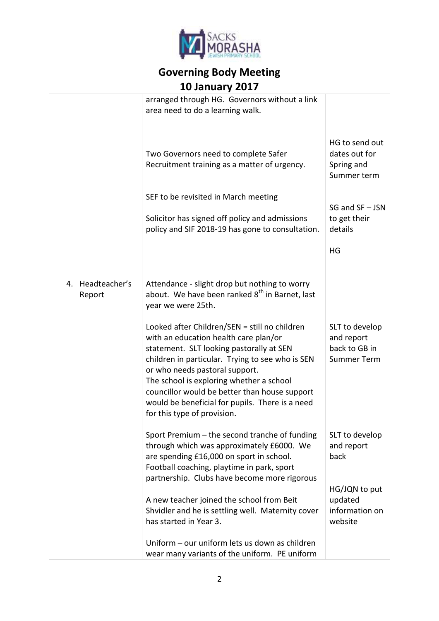

|                               | arranged through HG. Governors without a link<br>area need to do a learning walk.                                                                                                                                                                                                                                                                                                                       |                                                                     |
|-------------------------------|---------------------------------------------------------------------------------------------------------------------------------------------------------------------------------------------------------------------------------------------------------------------------------------------------------------------------------------------------------------------------------------------------------|---------------------------------------------------------------------|
|                               | Two Governors need to complete Safer<br>Recruitment training as a matter of urgency.                                                                                                                                                                                                                                                                                                                    | HG to send out<br>dates out for<br>Spring and<br>Summer term        |
|                               | SEF to be revisited in March meeting                                                                                                                                                                                                                                                                                                                                                                    | SG and SF-JSN                                                       |
|                               | Solicitor has signed off policy and admissions<br>policy and SIF 2018-19 has gone to consultation.                                                                                                                                                                                                                                                                                                      | to get their<br>details                                             |
|                               |                                                                                                                                                                                                                                                                                                                                                                                                         | HG                                                                  |
| Headteacher's<br>4.<br>Report | Attendance - slight drop but nothing to worry<br>about. We have been ranked 8 <sup>th</sup> in Barnet, last<br>year we were 25th.                                                                                                                                                                                                                                                                       |                                                                     |
|                               | Looked after Children/SEN = still no children<br>with an education health care plan/or<br>statement. SLT looking pastorally at SEN<br>children in particular. Trying to see who is SEN<br>or who needs pastoral support.<br>The school is exploring whether a school<br>councillor would be better than house support<br>would be beneficial for pupils. There is a need<br>for this type of provision. | SLT to develop<br>and report<br>back to GB in<br><b>Summer Term</b> |
|                               | Sport Premium - the second tranche of funding<br>through which was approximately £6000. We<br>are spending £16,000 on sport in school.<br>Football coaching, playtime in park, sport<br>partnership. Clubs have become more rigorous                                                                                                                                                                    | SLT to develop<br>and report<br>back                                |
|                               | A new teacher joined the school from Beit<br>Shvidler and he is settling well. Maternity cover<br>has started in Year 3.                                                                                                                                                                                                                                                                                | HG/JQN to put<br>updated<br>information on<br>website               |
|                               | Uniform - our uniform lets us down as children<br>wear many variants of the uniform. PE uniform                                                                                                                                                                                                                                                                                                         |                                                                     |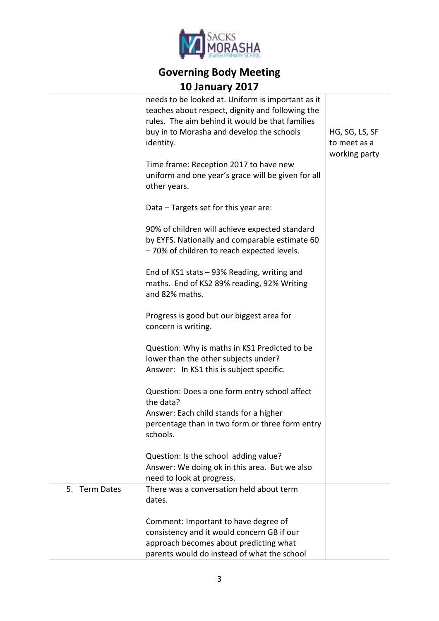

|               | needs to be looked at. Uniform is important as it<br>teaches about respect, dignity and following the<br>rules. The aim behind it would be that families<br>buy in to Morasha and develop the schools<br>identity.<br>Time frame: Reception 2017 to have new<br>uniform and one year's grace will be given for all<br>other years.<br>Data - Targets set for this year are:<br>90% of children will achieve expected standard<br>by EYFS. Nationally and comparable estimate 60<br>-70% of children to reach expected levels.<br>End of KS1 stats - 93% Reading, writing and<br>maths. End of KS2 89% reading, 92% Writing<br>and 82% maths.<br>Progress is good but our biggest area for<br>concern is writing.<br>Question: Why is maths in KS1 Predicted to be<br>lower than the other subjects under?<br>Answer: In KS1 this is subject specific.<br>Question: Does a one form entry school affect<br>the data?<br>Answer: Each child stands for a higher<br>percentage than in two form or three form entry<br>schools.<br>Question: Is the school adding value?<br>Answer: We doing ok in this area. But we also | HG, SG, LS, SF<br>to meet as a<br>working party |
|---------------|------------------------------------------------------------------------------------------------------------------------------------------------------------------------------------------------------------------------------------------------------------------------------------------------------------------------------------------------------------------------------------------------------------------------------------------------------------------------------------------------------------------------------------------------------------------------------------------------------------------------------------------------------------------------------------------------------------------------------------------------------------------------------------------------------------------------------------------------------------------------------------------------------------------------------------------------------------------------------------------------------------------------------------------------------------------------------------------------------------------------|-------------------------------------------------|
|               | need to look at progress.                                                                                                                                                                                                                                                                                                                                                                                                                                                                                                                                                                                                                                                                                                                                                                                                                                                                                                                                                                                                                                                                                              |                                                 |
| 5. Term Dates | There was a conversation held about term<br>dates.<br>Comment: Important to have degree of<br>consistency and it would concern GB if our<br>approach becomes about predicting what<br>parents would do instead of what the school                                                                                                                                                                                                                                                                                                                                                                                                                                                                                                                                                                                                                                                                                                                                                                                                                                                                                      |                                                 |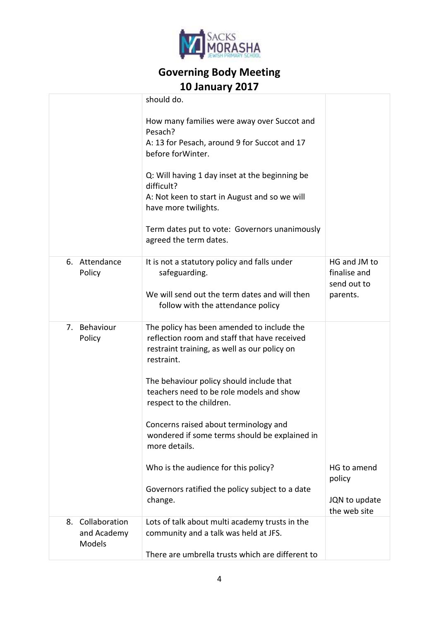

|                                              | should do.<br>How many families were away over Succot and<br>Pesach?<br>A: 13 for Pesach, around 9 for Succot and 17<br>before forWinter.<br>Q: Will having 1 day inset at the beginning be<br>difficult?<br>A: Not keen to start in August and so we will<br>have more twilights.<br>Term dates put to vote: Governors unanimously<br>agreed the term dates.                                                                                                                      |                                                         |
|----------------------------------------------|------------------------------------------------------------------------------------------------------------------------------------------------------------------------------------------------------------------------------------------------------------------------------------------------------------------------------------------------------------------------------------------------------------------------------------------------------------------------------------|---------------------------------------------------------|
| 6. Attendance<br>Policy                      | It is not a statutory policy and falls under<br>safeguarding.<br>We will send out the term dates and will then<br>follow with the attendance policy                                                                                                                                                                                                                                                                                                                                | HG and JM to<br>finalise and<br>send out to<br>parents. |
| Behaviour<br>7.<br>Policy                    | The policy has been amended to include the<br>reflection room and staff that have received<br>restraint training, as well as our policy on<br>restraint.<br>The behaviour policy should include that<br>teachers need to be role models and show<br>respect to the children.<br>Concerns raised about terminology and<br>wondered if some terms should be explained in<br>more details.<br>Who is the audience for this policy?<br>Governors ratified the policy subject to a date | HG to amend<br>policy                                   |
|                                              | change.                                                                                                                                                                                                                                                                                                                                                                                                                                                                            | JQN to update<br>the web site                           |
| Collaboration<br>8.<br>and Academy<br>Models | Lots of talk about multi academy trusts in the<br>community and a talk was held at JFS.<br>There are umbrella trusts which are different to                                                                                                                                                                                                                                                                                                                                        |                                                         |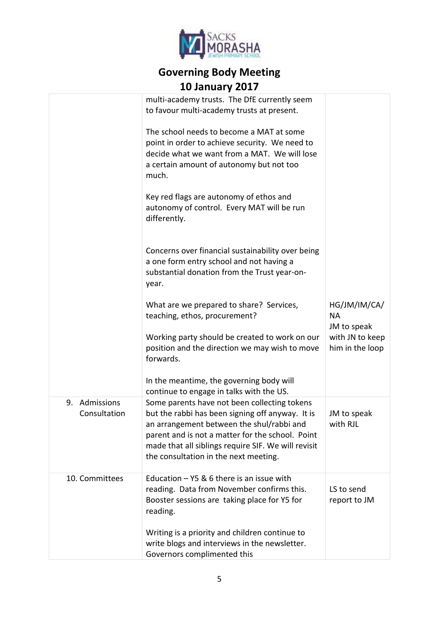

|                                  | multi-academy trusts. The DfE currently seem<br>to favour multi-academy trusts at present.                                                                                                                                                                                                        |                                          |
|----------------------------------|---------------------------------------------------------------------------------------------------------------------------------------------------------------------------------------------------------------------------------------------------------------------------------------------------|------------------------------------------|
|                                  | The school needs to become a MAT at some<br>point in order to achieve security. We need to<br>decide what we want from a MAT. We will lose<br>a certain amount of autonomy but not too<br>much.                                                                                                   |                                          |
|                                  | Key red flags are autonomy of ethos and<br>autonomy of control. Every MAT will be run<br>differently.                                                                                                                                                                                             |                                          |
|                                  | Concerns over financial sustainability over being<br>a one form entry school and not having a<br>substantial donation from the Trust year-on-<br>year.                                                                                                                                            |                                          |
|                                  | What are we prepared to share? Services,<br>teaching, ethos, procurement?                                                                                                                                                                                                                         | HG/JM/IM/CA/<br><b>NA</b><br>JM to speak |
|                                  | Working party should be created to work on our<br>position and the direction we may wish to move<br>forwards.                                                                                                                                                                                     | with JN to keep<br>him in the loop       |
|                                  | In the meantime, the governing body will<br>continue to engage in talks with the US.                                                                                                                                                                                                              |                                          |
| Admissions<br>9.<br>Consultation | Some parents have not been collecting tokens<br>but the rabbi has been signing off anyway. It is<br>an arrangement between the shul/rabbi and<br>parent and is not a matter for the school. Point<br>made that all siblings require SIF. We will revisit<br>the consultation in the next meeting. | JM to speak<br>with RJL                  |
| 10. Committees                   | Education $-$ Y5 & 6 there is an issue with<br>reading. Data from November confirms this.<br>Booster sessions are taking place for Y5 for<br>reading.                                                                                                                                             | LS to send<br>report to JM               |
|                                  | Writing is a priority and children continue to<br>write blogs and interviews in the newsletter.<br>Governors complimented this                                                                                                                                                                    |                                          |